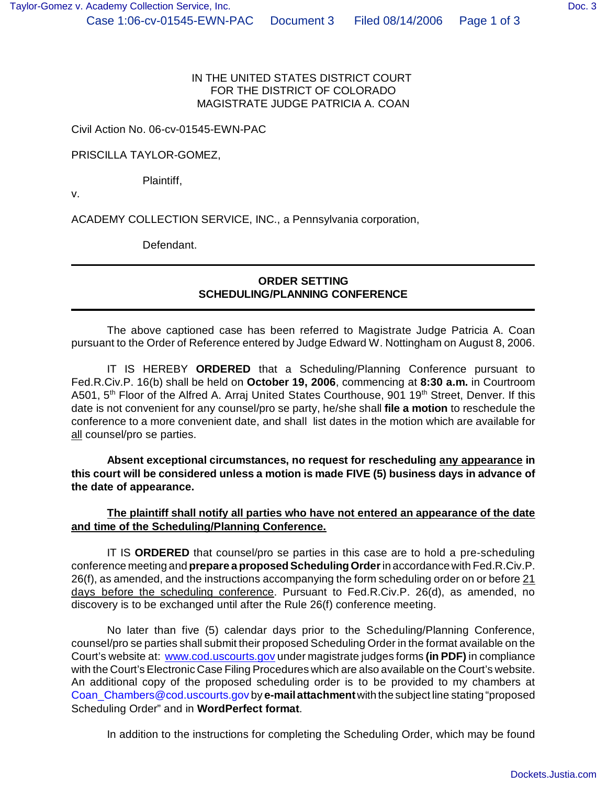## IN THE UNITED STATES DISTRICT COURT FOR THE DISTRICT OF COLORADO MAGISTRATE JUDGE PATRICIA A. COAN

Civil Action No. 06-cv-01545-EWN-PAC

## PRISCILLA TAYLOR-GOMEZ,

Plaintiff,

v.

ACADEMY COLLECTION SERVICE, INC., a Pennsylvania corporation,

Defendant.

## **ORDER SETTING SCHEDULING/PLANNING CONFERENCE**

The above captioned case has been referred to Magistrate Judge Patricia A. Coan pursuant to the Order of Reference entered by Judge Edward W. Nottingham on August 8, 2006.

IT IS HEREBY **ORDERED** that a Scheduling/Planning Conference pursuant to Fed.R.Civ.P. 16(b) shall be held on **October 19, 2006**, commencing at **8:30 a.m.** in Courtroom A501, 5<sup>th</sup> Floor of the Alfred A. Arraj United States Courthouse, 901 19<sup>th</sup> Street, Denver. If this date is not convenient for any counsel/pro se party, he/she shall **file a motion** to reschedule the conference to a more convenient date, and shall list dates in the motion which are available for all counsel/pro se parties.

**Absent exceptional circumstances, no request for rescheduling any appearance in this court will be considered unless a motion is made FIVE (5) business days in advance of the date of appearance.**

## **The plaintiff shall notify all parties who have not entered an appearance of the date and time of the Scheduling/Planning Conference.**

IT IS **ORDERED** that counsel/pro se parties in this case are to hold a pre-scheduling conference meeting and **prepare a proposed Scheduling Order** in accordance with Fed.R.Civ.P. 26(f), as amended, and the instructions accompanying the form scheduling order on or before 21 days before the scheduling conference. Pursuant to Fed.R.Civ.P. 26(d), as amended, no discovery is to be exchanged until after the Rule 26(f) conference meeting.

No later than five (5) calendar days prior to the Scheduling/Planning Conference, counsel/pro se parties shall submit their proposed Scheduling Order in the format available on the Court's website at: www.cod.uscourts.gov under magistrate judges forms **(in PDF)** in compliance with the Court's Electronic Case Filing Procedures which are also available on the Court's website. An additional copy of the proposed scheduling order is to be provided to my chambers at Coan\_Chambers@cod.uscourts.gov by **e-mail attachment** with the subject line stating "proposed Scheduling Order" and in **WordPerfect format**.

In addition to the instructions for completing the Scheduling Order, which may be found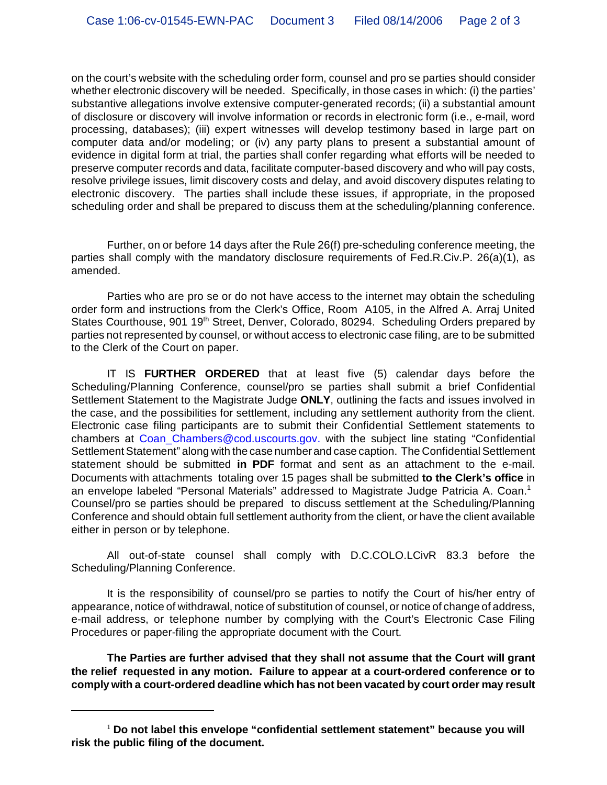on the court's website with the scheduling order form, counsel and pro se parties should consider whether electronic discovery will be needed. Specifically, in those cases in which: (i) the parties' substantive allegations involve extensive computer-generated records; (ii) a substantial amount of disclosure or discovery will involve information or records in electronic form (i.e., e-mail, word processing, databases); (iii) expert witnesses will develop testimony based in large part on computer data and/or modeling; or (iv) any party plans to present a substantial amount of evidence in digital form at trial, the parties shall confer regarding what efforts will be needed to preserve computer records and data, facilitate computer-based discovery and who will pay costs, resolve privilege issues, limit discovery costs and delay, and avoid discovery disputes relating to electronic discovery. The parties shall include these issues, if appropriate, in the proposed scheduling order and shall be prepared to discuss them at the scheduling/planning conference.

Further, on or before 14 days after the Rule 26(f) pre-scheduling conference meeting, the parties shall comply with the mandatory disclosure requirements of Fed.R.Civ.P. 26(a)(1), as amended.

Parties who are pro se or do not have access to the internet may obtain the scheduling order form and instructions from the Clerk's Office, Room A105, in the Alfred A. Arraj United States Courthouse, 901 19<sup>th</sup> Street, Denver, Colorado, 80294. Scheduling Orders prepared by parties not represented by counsel, or without access to electronic case filing, are to be submitted to the Clerk of the Court on paper.

IT IS **FURTHER ORDERED** that at least five (5) calendar days before the Scheduling/Planning Conference, counsel/pro se parties shall submit a brief Confidential Settlement Statement to the Magistrate Judge **ONLY**, outlining the facts and issues involved in the case, and the possibilities for settlement, including any settlement authority from the client. Electronic case filing participants are to submit their Confidential Settlement statements to chambers at Coan Chambers@cod.uscourts.gov. with the subject line stating "Confidential Settlement Statement" along with the case number and case caption. The Confidential Settlement statement should be submitted **in PDF** format and sent as an attachment to the e-mail. Documents with attachments totaling over 15 pages shall be submitted **to the Clerk's office** in an envelope labeled "Personal Materials" addressed to Magistrate Judge Patricia A. Coan.<sup>1</sup> Counsel/pro se parties should be prepared to discuss settlement at the Scheduling/Planning Conference and should obtain full settlement authority from the client, or have the client available either in person or by telephone.

All out-of-state counsel shall comply with D.C.COLO.LCivR 83.3 before the Scheduling/Planning Conference.

It is the responsibility of counsel/pro se parties to notify the Court of his/her entry of appearance, notice of withdrawal, notice of substitution of counsel, or notice of change of address, e-mail address, or telephone number by complying with the Court's Electronic Case Filing Procedures or paper-filing the appropriate document with the Court.

**The Parties are further advised that they shall not assume that the Court will grant the relief requested in any motion. Failure to appear at a court-ordered conference or to comply with a court-ordered deadline which has not been vacated by court order may result**

<sup>&</sup>lt;sup>1</sup> Do not label this envelope "confidential settlement statement" because you will **risk the public filing of the document.**